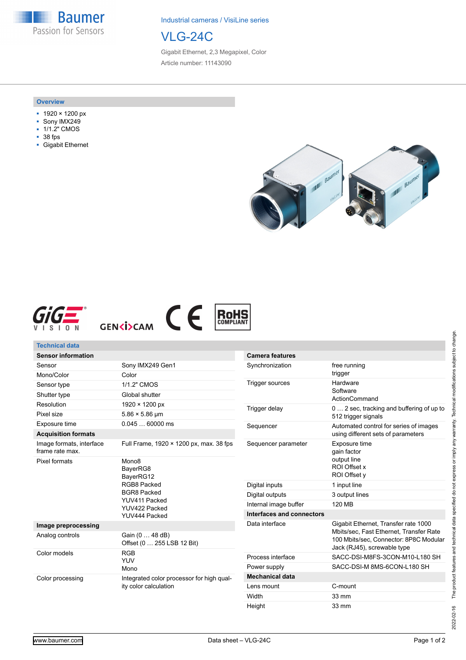**Baumer** Passion for Sensors

Industrial cameras / VisiLine series

## VLG-24C

Gigabit Ethernet, 2,3 Megapixel, Color Article number: 11143090

#### **Overview**

- 1920 × 1200 px
- Sony IMX249
- 1/1.2" CMOS
- 38 fps
- Gigabit Ethernet









| <b>Technical data</b>                       |                                                                                                                                    |                                                                                                                                                      |                                                                                 |
|---------------------------------------------|------------------------------------------------------------------------------------------------------------------------------------|------------------------------------------------------------------------------------------------------------------------------------------------------|---------------------------------------------------------------------------------|
| <b>Sensor information</b>                   |                                                                                                                                    | <b>Camera features</b>                                                                                                                               |                                                                                 |
| Sensor                                      | Sony IMX249 Gen1                                                                                                                   | Synchronization                                                                                                                                      | free running                                                                    |
| Mono/Color                                  | Color                                                                                                                              |                                                                                                                                                      | trigger                                                                         |
| Sensor type                                 | 1/1.2" CMOS                                                                                                                        | Hardware<br><b>Trigger sources</b><br>Software<br>ActionCommand<br>Trigger delay<br>0  2 sec, tracking and buffering of up to<br>512 trigger signals |                                                                                 |
| Shutter type                                | Global shutter                                                                                                                     |                                                                                                                                                      |                                                                                 |
| Resolution                                  | 1920 × 1200 px                                                                                                                     |                                                                                                                                                      |                                                                                 |
| Pixel size                                  | $5.86 \times 5.86 \,\text{µm}$                                                                                                     |                                                                                                                                                      |                                                                                 |
| Exposure time                               | $0.04560000$ ms                                                                                                                    | Sequencer                                                                                                                                            | Automated control for series of images<br>using different sets of parameters    |
| <b>Acquisition formats</b>                  |                                                                                                                                    |                                                                                                                                                      |                                                                                 |
| Image formats, interface<br>frame rate max. | Full Frame, 1920 × 1200 px, max. 38 fps                                                                                            | Sequencer parameter                                                                                                                                  | Exposure time<br>gain factor<br>output line<br>ROI Offset x<br>ROI Offset y     |
| Pixel formats                               | Mono <sub>8</sub><br>BayerRG8<br>BayerRG12<br>RGB8 Packed<br><b>BGR8 Packed</b><br>YUV411 Packed<br>YUV422 Packed<br>YUV444 Packed |                                                                                                                                                      |                                                                                 |
|                                             |                                                                                                                                    | Digital inputs                                                                                                                                       | 1 input line                                                                    |
|                                             |                                                                                                                                    | Digital outputs                                                                                                                                      | 3 output lines                                                                  |
|                                             |                                                                                                                                    | Internal image buffer                                                                                                                                | 120 MB                                                                          |
|                                             |                                                                                                                                    | Interfaces and connectors                                                                                                                            |                                                                                 |
| Image preprocessing                         |                                                                                                                                    |                                                                                                                                                      | Gigabit Ethernet, Transfer rate 1000<br>Mbits/sec, Fast Ethernet, Transfer Rate |
| Analog controls                             | Gain (0  48 dB)<br>Offset (0  255 LSB 12 Bit)                                                                                      |                                                                                                                                                      | 100 Mbits/sec. Connector: 8P8C Modular<br>Jack (RJ45), screwable type           |
| Color models                                | <b>RGB</b><br><b>YUV</b><br>Mono                                                                                                   | Process interface                                                                                                                                    | SACC-DSI-M8FS-3CON-M10-L180 SH                                                  |
|                                             |                                                                                                                                    | Power supply                                                                                                                                         | SACC-DSI-M 8MS-6CON-L180 SH                                                     |
| Color processing                            | Integrated color processor for high qual-<br>ity color calculation                                                                 | <b>Mechanical data</b>                                                                                                                               |                                                                                 |
|                                             |                                                                                                                                    | Lens mount                                                                                                                                           | C-mount                                                                         |
|                                             |                                                                                                                                    | Width                                                                                                                                                | 33 mm                                                                           |

Height 33 mm